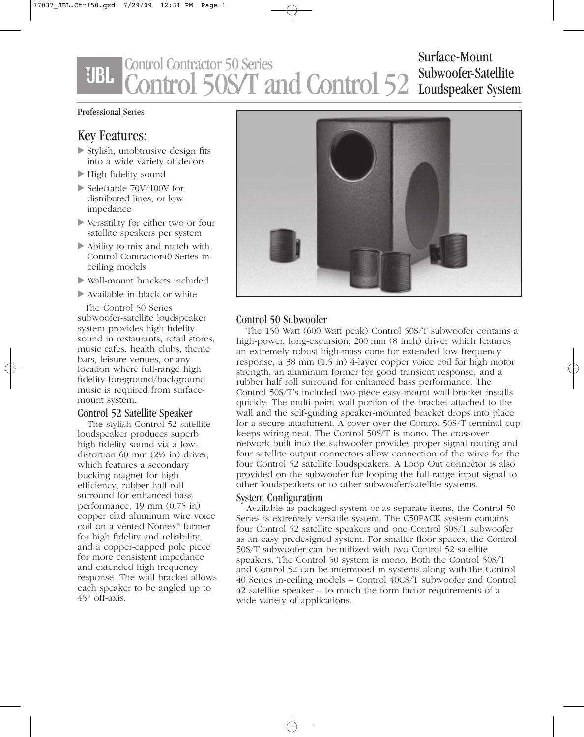## Control Contractor 50 Series **UBL** Control 50S/T and Control 52 Subwoofer-Satellite

Surface-Mount Loudspeaker System

#### Professional Series

## Key Features:

- Stylish, unobtrusive design fits into a wide variety of decors
- High fidelity sound
- Selectable 70V/100V for distributed lines, or low impedance
- Versatility for either two or four satellite speakers per system
- Ability to mix and match with Control Contractor40 Series inceiling models
- Wall-mount brackets included
- Available in black or white

The Control 50 Series subwoofer-satellite loudspeaker system provides high fidelity sound in restaurants, retail stores, music cafes, health clubs, theme bars, leisure venues, or any location where full-range high fidelity foreground/background music is required from surfacemount system.

### Control 52 Satellite Speaker

The stylish Control 52 satellite loudspeaker produces superb high fidelity sound via a lowdistortion 60 mm (2½ in) driver, which features a secondary bucking magnet for high efficiency, rubber half roll surround for enhanced bass performance, 19 mm (0.75 in) copper clad aluminum wire voice coil on a vented Nomex® former for high fidelity and reliability, and a copper-capped pole piece for more consistent impedance and extended high frequency response. The wall bracket allows each speaker to be angled up to 45° off-axis.



### Control 50 Subwoofer

The 150 Watt (600 Watt peak) Control 50S/T subwoofer contains a high-power, long-excursion, 200 mm (8 inch) driver which features an extremely robust high-mass cone for extended low frequency response, a 38 mm (1.5 in) 4-layer copper voice coil for high motor strength, an aluminum former for good transient response, and a rubber half roll surround for enhanced bass performance. The Control 50S/T's included two-piece easy-mount wall-bracket installs quickly: The multi-point wall portion of the bracket attached to the wall and the self-guiding speaker-mounted bracket drops into place for a secure attachment. A cover over the Control 50S/T terminal cup keeps wiring neat. The Control 50S/T is mono. The crossover network built into the subwoofer provides proper signal routing and four satellite output connectors allow connection of the wires for the four Control 52 satellite loudspeakers. A Loop Out connector is also provided on the subwoofer for looping the full-range input signal to other loudspeakers or to other subwoofer/satellite systems.

### System Configuration

Available as packaged system or as separate items, the Control 50 Series is extremely versatile system. The C50PACK system contains four Control 52 satellite speakers and one Control 50S/T subwoofer as an easy predesigned system. For smaller floor spaces, the Control 50S/T subwoofer can be utilized with two Control 52 satellite speakers. The Control 50 system is mono. Both the Control 50S/T and Control 52 can be intermixed in systems along with the Control 40 Series in-ceiling models – Control 40CS/T subwoofer and Control 42 satellite speaker – to match the form factor requirements of a wide variety of applications.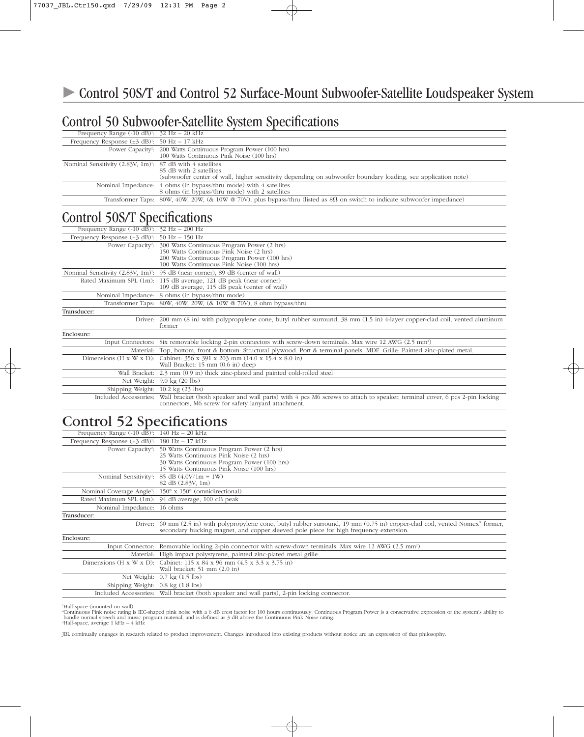# Control 50 Subwoofer-Satellite System Specifications

| Frequency Range $(-10 \text{ dB})$ : $32 \text{ Hz} - 20 \text{ kHz}$    |                                                                                                                                         |
|--------------------------------------------------------------------------|-----------------------------------------------------------------------------------------------------------------------------------------|
| Frequency Response $(\pm 3 \text{ dB})^1$ : 50 Hz – 17 kHz               |                                                                                                                                         |
|                                                                          | Power Capacity <sup>2</sup> : 200 Watts Continuous Program Power (100 hrs)<br>100 Watts Continuous Pink Noise (100 hrs)                 |
| Nominal Sensitivity $(2.83V, 1m)$ <sup>1</sup> : 87 dB with 4 satellites | 85 dB with 2 satellites<br>(subwoofer center of wall, higher sensitivity depending on subwoofer boundary loading, see application note) |
|                                                                          | Nominal Impedance: 4 ohms (in bypass/thru mode) with 4 satellites<br>8 ohms (in bypass/thru mode) with 2 satellites                     |
|                                                                          | Transformer Taps: 80W, 40W, 20W, (& 10W @ 70V), plus bypass/thru (listed as $8\Omega$ on switch to indicate subwoofer impedance)        |

# Control 50S/T Specifications

| Frequency Range $(-10 \text{ dB})$ <sup>1</sup> : $32 \text{ Hz} - 200 \text{ Hz}$ |                                                                                                                                                                                                                  |
|------------------------------------------------------------------------------------|------------------------------------------------------------------------------------------------------------------------------------------------------------------------------------------------------------------|
| Frequency Response $(\pm 3 \text{ dB})^1$ : 50 Hz = 150 Hz                         |                                                                                                                                                                                                                  |
|                                                                                    | Power Capacity <sup>2</sup> : 300 Watts Continuous Program Power (2 hrs)<br>150 Watts Continuous Pink Noise (2 hrs)<br>200 Watts Continuous Program Power (100 hrs)<br>100 Watts Continuous Pink Noise (100 hrs) |
|                                                                                    | Nominal Sensitivity (2.83V, 1m) <sup>1</sup> : 95 dB (near corner), 89 dB (center of wall)                                                                                                                       |
|                                                                                    | Rated Maximum SPL (1m): 115 dB average, 121 dB peak (near corner)<br>109 dB average, 115 dB peak (center of wall)                                                                                                |
|                                                                                    | Nominal Impedance: 8 ohms (in bypass/thru mode)                                                                                                                                                                  |
|                                                                                    | Transformer Taps: 80W, 40W, 20W, (& 10W @ 70V), 8 ohm bypass/thru                                                                                                                                                |
| Transducer:                                                                        |                                                                                                                                                                                                                  |
|                                                                                    | Driver: 200 mm (8 in) with polypropylene cone, butyl rubber surround, 38 mm (1.5 in) 4-layer copper-clad coil, vented aluminum<br>former                                                                         |
| Enclosure:                                                                         |                                                                                                                                                                                                                  |
|                                                                                    | Input Connectors: Six removable locking 2-pin connectors with screw-down terminals. Max wire 12 AWG (2.5 mm <sup>2</sup> )                                                                                       |
|                                                                                    | Material: Top, bottom, front & bottom: Structural plywood. Port & terminal panels: MDF. Grille: Painted zinc-plated metal.                                                                                       |
|                                                                                    | Dimensions (H x W x D): Cabinet: $356 \times 391 \times 203$ mm $(14.0 \times 15.4 \times 8.0$ in)<br>Wall Bracket: 15 mm (0.6 in) deep                                                                          |
|                                                                                    | Wall Bracket: 2.3 mm (0.9 in) thick zinc-plated and painted cold-rolled steel                                                                                                                                    |
|                                                                                    | Net Weight: 9.0 kg (20 lbs)                                                                                                                                                                                      |
|                                                                                    | Shipping Weight: 10.2 kg (23 lbs)                                                                                                                                                                                |

Included Accessories: Wall bracket (both speaker and wall parts) with 4 pcs M6 screws to attach to speaker, terminal cover, 6 pcs 2-pin locking connectors, M6 screw for safety lanyard attachment.

# Control 52 Specifications

| Frequency Range $(-10 \text{ dB})$ <sup>1</sup> : 140 Hz – 20 kHz |                                                                                                                                                                                                                                     |
|-------------------------------------------------------------------|-------------------------------------------------------------------------------------------------------------------------------------------------------------------------------------------------------------------------------------|
| Frequency Response $(\pm 3$ dB) <sup>1</sup> : 180 Hz – 17 kHz    |                                                                                                                                                                                                                                     |
|                                                                   | Power Capacity <sup>2</sup> : 50 Watts Continuous Program Power (2 hrs)                                                                                                                                                             |
|                                                                   | 25 Watts Continuous Pink Noise (2 hrs)                                                                                                                                                                                              |
|                                                                   | 30 Watts Continuous Program Power (100 hrs)                                                                                                                                                                                         |
|                                                                   | 15 Watts Continuous Pink Noise (100 hrs)                                                                                                                                                                                            |
|                                                                   | Nominal Sensitivity <sup>1</sup> : 85 dB $(4.0V/1m = 1W)$                                                                                                                                                                           |
|                                                                   | 82 dB (2.83V, 1m)                                                                                                                                                                                                                   |
|                                                                   | Nominal Coverage Angle <sup>3</sup> : 150° x 150° (omnidirectional)                                                                                                                                                                 |
|                                                                   | Rated Maximum SPL (1m): 94 dB average, 100 dB peak                                                                                                                                                                                  |
| Nominal Impedance: 16 ohms                                        |                                                                                                                                                                                                                                     |
| Transducer:                                                       |                                                                                                                                                                                                                                     |
|                                                                   | Driver: 60 mm (2.5 in) with polypropylene cone, butyl rubber surround, 19 mm (0.75 in) copper-clad coil, vented Nomex <sup>®</sup> former,<br>secondary bucking magnet, and copper sleeved pole piece for high frequency extension. |
| Enclosure:                                                        |                                                                                                                                                                                                                                     |
|                                                                   | Input Connector: Removable locking 2-pin connector with screw-down terminals. Max wire 12 AWG (2.5 mm <sup>2</sup> )                                                                                                                |
|                                                                   | Material: High impact polystyrene, painted zinc-plated metal grille.                                                                                                                                                                |
|                                                                   | Dimensions (H x W x D): Cabinet: 115 x 84 x 96 mm $(4.5 \times 3.3 \times 3.75 \text{ in})$                                                                                                                                         |
|                                                                   | Wall bracket: 51 mm (2.0 in)                                                                                                                                                                                                        |
|                                                                   | Net Weight: $0.7 \text{ kg} (1.5 \text{ lbs})$                                                                                                                                                                                      |
| Shipping Weight: 0.8 kg (1.8 lbs)                                 |                                                                                                                                                                                                                                     |
|                                                                   | Included Accessories. Wall bracket (both speaker and wall parts). 2 pin locking connector                                                                                                                                           |

Included Accessories: Wall bracket (both speaker and wall parts), 2-pin locking connector.

1 Half-space (mounted on wall). 2 Continuous Pink noise rating is IEC-shaped pink noise with a 6 dB crest factor for 100 hours continuously. Continuous Program Power is a conservative expression of the system's ability to handle normal speech and music program material, and is defined as 3 dB above the Continuous Pink Noise rating. 3 Half-space, average 1 kHz – 4 kHz

JBL continually engages in research related to product improvement. Changes introduced into existing products without notice are an expression of that philosophy.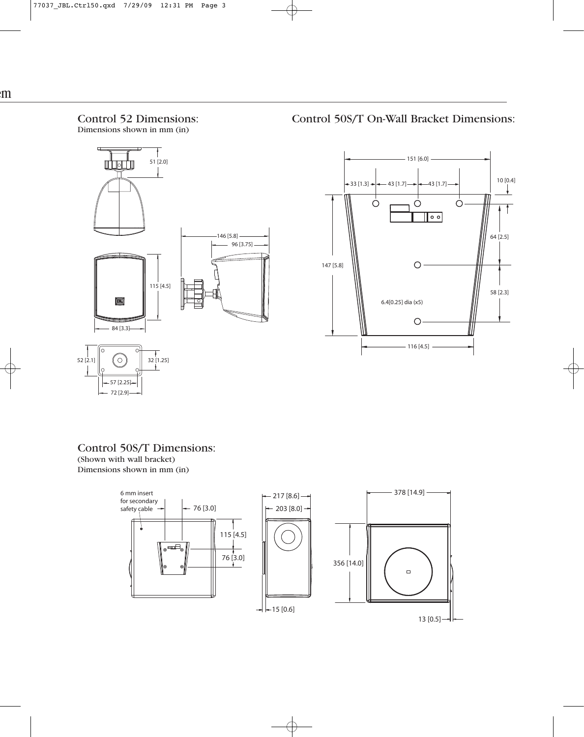### Control 52 Dimensions: Dimensions shown in mm (in)

Control 50S/T On-Wall Bracket Dimensions:





Control 50S/T Dimensions: (Shown with wall bracket) Dimensions shown in mm (in)

 $-57$  [2.25]  $-72$  [2.9]